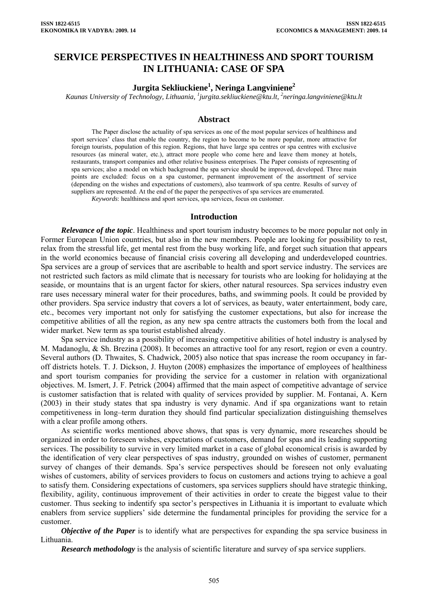# **SERVICE PERSPECTIVES IN HEALTHINESS AND SPORT TOURISM IN LITHUANIA: CASE OF SPA**

# $\bf{Jurgita Sekliuckiene}^1, \bf{Neringa Langviniene}^2$

*Kaunas University of Technology, Lithuania, <sup>1</sup> jurgita.sekliuckiene@ktu.lt, 2 neringa.langviniene@ktu.lt* 

## **Abstract**

The Paper disclose the actuality of spa services as one of the most popular services of healthiness and sport services' class that enable the country, the region to become to be more popular, more attractive for foreign tourists, population of this region. Regions, that have large spa centres or spa centres with exclusive resources (as mineral water, etc.), attract more people who come here and leave them money at hotels, restaurants, transport companies and other relative business enterprises. The Paper consists of representing of spa services; also a model on which background the spa service should be improved, developed. Three main points are excluded: focus on a spa customer, permanent improvement of the assortment of service (depending on the wishes and expectations of customers), also teamwork of spa centre. Results of survey of suppliers are represented. At the end of the paper the perspectives of spa services are enumerated.

*Keywords*: healthiness and sport services, spa services, focus on customer.

#### **Introduction**

*Relevance of the topic*. Healthiness and sport tourism industry becomes to be more popular not only in Former European Union countries, but also in the new members. People are looking for possibility to rest, relax from the stressful life, get mental rest from the busy working life, and forget such situation that appears in the world economics because of financial crisis covering all developing and underdeveloped countries. Spa services are a group of services that are ascribable to health and sport service industry. The services are not restricted such factors as mild climate that is necessary for tourists who are looking for holidaying at the seaside, or mountains that is an urgent factor for skiers, other natural resources. Spa services industry even rare uses necessary mineral water for their procedures, baths, and swimming pools. It could be provided by other providers. Spa service industry that covers a lot of services, as beauty, water entertainment, body care, etc., becomes very important not only for satisfying the customer expectations, but also for increase the competitive abilities of all the region, as any new spa centre attracts the customers both from the local and wider market. New term as spa tourist established already.

Spa service industry as a possibility of increasing competitive abilities of hotel industry is analysed by M. Madanoglu, & Sh. Brezina (2008). It becomes an attractive tool for any resort, region or even a country. Several authors (D. Thwaites, S. Chadwick, 2005) also notice that spas increase the room occupancy in faroff districts hotels. T. J. Dickson, J. Huyton (2008) emphasizes the importance of employees of healthiness and sport tourism companies for providing the service for a customer in relation with organizational objectives. M. Ismert, J. F. Petrick (2004) affirmed that the main aspect of competitive advantage of service is customer satisfaction that is related with quality of services provided by supplier. M. Fontanai, A. Kern (2003) in their study states that spa industry is very dynamic. And if spa organizations want to retain competitiveness in long–term duration they should find particular specialization distinguishing themselves with a clear profile among others.

As scientific works mentioned above shows, that spas is very dynamic, more researches should be organized in order to foreseen wishes, expectations of customers, demand for spas and its leading supporting services. The possibility to survive in very limited market in a case of global economical crisis is awarded by the identification of very clear perspectives of spas industry, grounded on wishes of customer, permanent survey of changes of their demands. Spa's service perspectives should be foreseen not only evaluating wishes of customers, ability of services providers to focus on customers and actions trying to achieve a goal to satisfy them. Considering expectations of customers, spa services suppliers should have strategic thinking, flexibility, agility, continuous improvement of their activities in order to create the biggest value to their customer. Thus seeking to indentify spa sector's perspectives in Lithuania it is important to evaluate which enablers from service suppliers' side determine the fundamental principles for providing the service for a customer.

*Objective of the Paper* is to identify what are perspectives for expanding the spa service business in Lithuania.

*Research methodology* is the analysis of scientific literature and survey of spa service suppliers.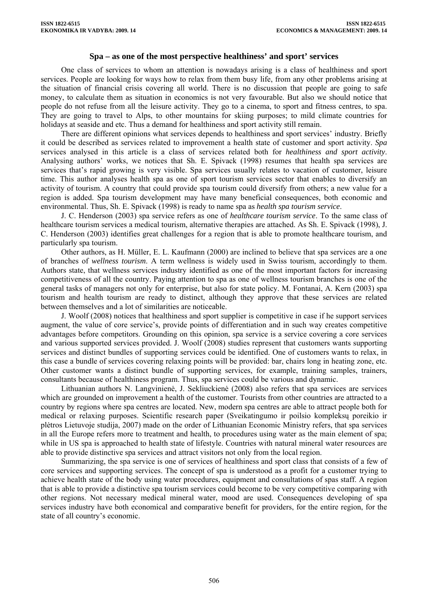### **Spa – as one of the most perspective healthiness' and sport' services**

One class of services to whom an attention is nowadays arising is a class of healthiness and sport services. People are looking for ways how to relax from them busy life, from any other problems arising at the situation of financial crisis covering all world. There is no discussion that people are going to safe money, to calculate them as situation in economics is not very favourable. But also we should notice that people do not refuse from all the leisure activity. They go to a cinema, to sport and fitness centres, to spa. They are going to travel to Alps, to other mountains for skiing purposes; to mild climate countries for holidays at seaside and etc. Thus a demand for healthiness and sport activity still remain.

There are different opinions what services depends to healthiness and sport services' industry. Briefly it could be described as services related to improvement a health state of customer and sport activity. *Spa* services analysed in this article is a class of services related both for *healthiness and sport activity*. Analysing authors' works, we notices that Sh. E. Spivack (1998) resumes that health spa services are services that's rapid growing is very visible. Spa services usually relates to vacation of customer, leisure time. This author analyses health spa as one of sport tourism services sector that enables to diversify an activity of tourism. A country that could provide spa tourism could diversify from others; a new value for a region is added. Spa tourism development may have many beneficial consequences, both economic and environmental. Thus, Sh. E. Spivack (1998) is ready to name spa as *health spa tourism service*.

J. C. Henderson (2003) spa service refers as one of *healthcare tourism service*. To the same class of healthcare tourism services a medical tourism, alternative therapies are attached. As Sh. E. Spivack (1998), J. C. Henderson (2003) identifies great challenges for a region that is able to promote healthcare tourism, and particularly spa tourism.

Other authors, as H. Müller, E. L. Kaufmann (2000) are inclined to believe that spa services are a one of branches of *wellness tourism*. A term wellness is widely used in Swiss tourism, accordingly to them. Authors state, that wellness services industry identified as one of the most important factors for increasing competitiveness of all the country. Paying attention to spa as one of wellness tourism branches is one of the general tasks of managers not only for enterprise, but also for state policy. M. Fontanai, A. Kern (2003) spa tourism and health tourism are ready to distinct, although they approve that these services are related between themselves and a lot of similarities are noticeable.

J. Woolf (2008) notices that healthiness and sport supplier is competitive in case if he support services augment, the value of core service's, provide points of differentiation and in such way creates competitive advantages before competitors. Grounding on this opinion, spa service is a service covering a core services and various supported services provided. J. Woolf (2008) studies represent that customers wants supporting services and distinct bundles of supporting services could be identified. One of customers wants to relax, in this case a bundle of services covering relaxing points will be provided: bar, chairs long in heating zone, etc. Other customer wants a distinct bundle of supporting services, for example, training samples, trainers, consultants because of healthiness program. Thus, spa services could be various and dynamic.

Lithuanian authors N. Langvinienė, J. Sekliuckienė (2008) also refers that spa services are services which are grounded on improvement a health of the customer. Tourists from other countries are attracted to a country by regions where spa centres are located. New, modern spa centres are able to attract people both for medical or relaxing purposes. Scientific research paper (Sveikatingumo ir poilsio kompleksų poreikio ir plėtros Lietuvoje studija, 2007) made on the order of Lithuanian Economic Ministry refers, that spa services in all the Europe refers more to treatment and health, to procedures using water as the main element of spa; while in US spa is approached to health state of lifestyle. Countries with natural mineral water resources are able to provide distinctive spa services and attract visitors not only from the local region.

Summarizing, the spa service is one of services of healthiness and sport class that consists of a few of core services and supporting services. The concept of spa is understood as a profit for a customer trying to achieve health state of the body using water procedures, equipment and consultations of spas staff. A region that is able to provide a distinctive spa tourism services could become to be very competitive comparing with other regions. Not necessary medical mineral water, mood are used. Consequences developing of spa services industry have both economical and comparative benefit for providers, for the entire region, for the state of all country's economic.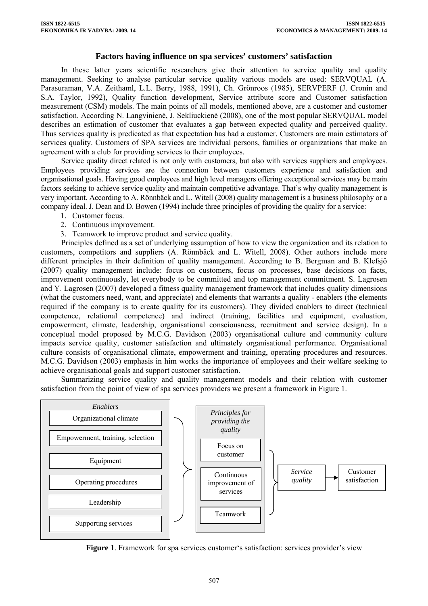# **Factors having influence on spa services' customers' satisfaction**

In these latter years scientific researchers give their attention to service quality and quality management. Seeking to analyse particular service quality various models are used: SERVQUAL (A. Parasuraman, V.A. Zeithaml, L.L. Berry, 1988, 1991), Ch. Grönroos (1985), SERVPERF (J. Cronin and S.A. Taylor, 1992), Quality function development, Service attribute score and Customer satisfaction measurement (CSM) models. The main points of all models, mentioned above, are a customer and customer satisfaction. According N. Langvinienė, J. Sekliuckienė (2008), one of the most popular SERVQUAL model describes an estimation of customer that evaluates a gap between expected quality and perceived quality. Thus services quality is predicated as that expectation has had a customer. Customers are main estimators of services quality. Customers of SPA services are individual persons, families or organizations that make an agreement with a club for providing services to their employees.

Service quality direct related is not only with customers, but also with services suppliers and employees. Employees providing services are the connection between customers experience and satisfaction and organisational goals. Having good employees and high level managers offering exceptional services may be main factors seeking to achieve service quality and maintain competitive advantage. That's why quality management is very important. According to A. Rönnbäck and L. Witell (2008) quality management is a business philosophy or a company ideal. J. Dean and D. Bowen (1994) include three principles of providing the quality for a service:

- 1. Customer focus.
- 2. Continuous improvement.
- 3. Teamwork to improve product and service quality.

Principles defined as a set of underlying assumption of how to view the organization and its relation to customers, competitors and suppliers (A. Rönnbäck and L. Witell, 2008). Other authors include more different principles in their definition of quality management. According to B. Bergman and B. Klefsjö (2007) quality management include: focus on customers, focus on processes, base decisions on facts, improvement continuously, let everybody to be committed and top management commitment. S. Lagrosen and Y. Lagrosen (2007) developed a fitness quality management framework that includes quality dimensions (what the customers need, want, and appreciate) and elements that warrants a quality - enablers (the elements required if the company is to create quality for its customers). They divided enablers to direct (technical competence, relational competence) and indirect (training, facilities and equipment, evaluation, empowerment, climate, leadership, organisational consciousness, recruitment and service design). In a conceptual model proposed by M.C.G. Davidson (2003) organisational culture and community culture impacts service quality, customer satisfaction and ultimately organisational performance. Organisational culture consists of organisational climate, empowerment and training, operating procedures and resources. M.C.G. Davidson (2003) emphasis in him works the importance of employees and their welfare seeking to achieve organisational goals and support customer satisfaction.

Summarizing service quality and quality management models and their relation with customer satisfaction from the point of view of spa services providers we present a framework in Figure 1.



**Figure 1**. Framework for spa services customer's satisfaction: services provider's view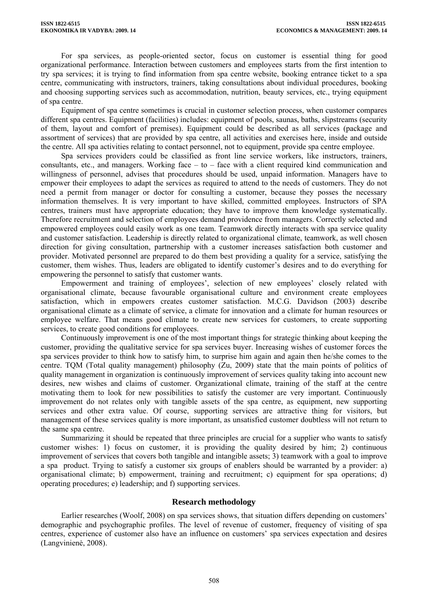For spa services, as people-oriented sector, focus on customer is essential thing for good organizational performance. Interaction between customers and employees starts from the first intention to try spa services; it is trying to find information from spa centre website, booking entrance ticket to a spa centre, communicating with instructors, trainers, taking consultations about individual procedures, booking and choosing supporting services such as accommodation, nutrition, beauty services, etc., trying equipment of spa centre.

Equipment of spa centre sometimes is crucial in customer selection process, when customer compares different spa centres. Equipment (facilities) includes: equipment of pools, saunas, baths, slipstreams (security of them, layout and comfort of premises). Equipment could be described as all services (package and assortment of services) that are provided by spa centre, all activities and exercises here, inside and outside the centre. All spa activities relating to contact personnel, not to equipment, provide spa centre employee.

Spa services providers could be classified as front line service workers, like instructors, trainers, consultants, etc., and managers. Working face – to – face with a client required kind communication and willingness of personnel, advises that procedures should be used, unpaid information. Managers have to empower their employees to adapt the services as required to attend to the needs of customers. They do not need a permit from manager or doctor for consulting a customer, because they posses the necessary information themselves. It is very important to have skilled, committed employees. Instructors of SPA centres, trainers must have appropriate education; they have to improve them knowledge systematically. Therefore recruitment and selection of employees demand providence from managers. Correctly selected and empowered employees could easily work as one team. Teamwork directly interacts with spa service quality and customer satisfaction. Leadership is directly related to organizational climate, teamwork, as well chosen direction for giving consultation, partnership with a customer increases satisfaction both customer and provider. Motivated personnel are prepared to do them best providing a quality for a service, satisfying the customer, them wishes. Thus, leaders are obligated to identify customer's desires and to do everything for empowering the personnel to satisfy that customer wants.

Empowerment and training of employees', selection of new employees' closely related with organisational climate, because favourable organisational culture and environment create employees satisfaction, which in empowers creates customer satisfaction. M.C.G. Davidson (2003) describe organisational climate as a climate of service, a climate for innovation and a climate for human resources or employee welfare. That means good climate to create new services for customers, to create supporting services, to create good conditions for employees.

Continuously improvement is one of the most important things for strategic thinking about keeping the customer, providing the qualitative service for spa services buyer. Increasing wishes of customer forces the spa services provider to think how to satisfy him, to surprise him again and again then he/she comes to the centre. TQM (Total quality management) philosophy (Zu, 2009) state that the main points of politics of quality management in organization is continuously improvement of services quality taking into account new desires, new wishes and claims of customer. Organizational climate, training of the staff at the centre motivating them to look for new possibilities to satisfy the customer are very important. Continuously improvement do not relates only with tangible assets of the spa centre, as equipment, new supporting services and other extra value. Of course, supporting services are attractive thing for visitors, but management of these services quality is more important, as unsatisfied customer doubtless will not return to the same spa centre.

Summarizing it should be repeated that three principles are crucial for a supplier who wants to satisfy customer wishes: 1) focus on customer, it is providing the quality desired by him; 2) continuous improvement of services that covers both tangible and intangible assets; 3) teamwork with a goal to improve a spa product. Trying to satisfy a customer six groups of enablers should be warranted by a provider: a) organisational climate; b) empowerment, training and recruitment; c) equipment for spa operations; d) operating procedures; e) leadership; and f) supporting services.

### **Research methodology**

Earlier researches (Woolf, 2008) on spa services shows, that situation differs depending on customers' demographic and psychographic profiles. The level of revenue of customer, frequency of visiting of spa centres, experience of customer also have an influence on customers' spa services expectation and desires (Langvinienė, 2008).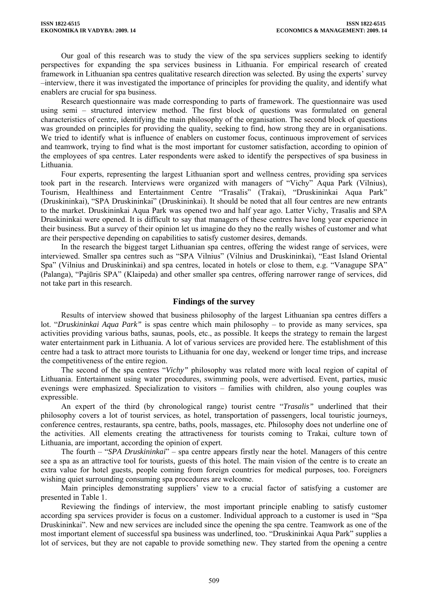Our goal of this research was to study the view of the spa services suppliers seeking to identify perspectives for expanding the spa services business in Lithuania. For empirical research of created framework in Lithuanian spa centres qualitative research direction was selected. By using the experts' survey –interview, there it was investigated the importance of principles for providing the quality, and identify what enablers are crucial for spa business.

Research questionnaire was made corresponding to parts of framework. The questionnaire was used using semi – structured interview method. The first block of questions was formulated on general characteristics of centre, identifying the main philosophy of the organisation. The second block of questions was grounded on principles for providing the quality, seeking to find, how strong they are in organisations. We tried to identify what is influence of enablers on customer focus, continuous improvement of services and teamwork, trying to find what is the most important for customer satisfaction, according to opinion of the employees of spa centres. Later respondents were asked to identify the perspectives of spa business in Lithuania.

Four experts, representing the largest Lithuanian sport and wellness centres, providing spa services took part in the research. Interviews were organized with managers of "Vichy" Aqua Park (Vilnius), Tourism, Healthiness and Entertainment Centre "Trasalis" (Trakai), "Druskininkai Aqua Park" (Druskininkai), "SPA Druskininkai" (Druskininkai). It should be noted that all four centres are new entrants to the market. Druskininkai Aqua Park was opened two and half year ago. Latter Vichy, Trasalis and SPA Druskininkai were opened. It is difficult to say that managers of these centres have long year experience in their business. But a survey of their opinion let us imagine do they no the really wishes of customer and what are their perspective depending on capabilities to satisfy customer desires, demands.

In the research the biggest target Lithuanian spa centres, offering the widest range of services, were interviewed. Smaller spa centres such as "SPA Vilnius" (Vilnius and Druskininkai), "East Island Oriental Spa" (Vilnius and Druskininkai) and spa centres, located in hotels or close to them, e.g. "Vanagupe SPA" (Palanga), "Pajūris SPA" (Klaipeda) and other smaller spa centres, offering narrower range of services, did not take part in this research.

### **Findings of the survey**

Results of interview showed that business philosophy of the largest Lithuanian spa centres differs a lot. "*Druskininkai Aqua Park"* is spas centre which main philosophy – to provide as many services, spa activities providing various baths, saunas, pools, etc., as possible. It keeps the strategy to remain the largest water entertainment park in Lithuania. A lot of various services are provided here. The establishment of this centre had a task to attract more tourists to Lithuania for one day, weekend or longer time trips, and increase the competitiveness of the entire region.

The second of the spa centres "*Vichy"* philosophy was related more with local region of capital of Lithuania. Entertainment using water procedures, swimming pools, were advertised. Event, parties, music evenings were emphasized. Specialization to visitors – families with children, also young couples was expressible.

An expert of the third (by chronological range) tourist centre "*Trasalis"* underlined that their philosophy covers a lot of tourist services, as hotel, transportation of passengers, local touristic journeys, conference centres, restaurants, spa centre, baths, pools, massages, etc. Philosophy does not underline one of the activities. All elements creating the attractiveness for tourists coming to Trakai, culture town of Lithuania, are important, according the opinion of expert.

The fourth – "*SPA Druskininkai*" – spa centre appears firstly near the hotel. Managers of this centre see a spa as an attractive tool for tourists, guests of this hotel. The main vision of the centre is to create an extra value for hotel guests, people coming from foreign countries for medical purposes, too. Foreigners wishing quiet surrounding consuming spa procedures are welcome.

Main principles demonstrating suppliers' view to a crucial factor of satisfying a customer are presented in Table 1.

Reviewing the findings of interview, the most important principle enabling to satisfy customer according spa services provider is focus on a customer. Individual approach to a customer is used in "Spa Druskininkai". New and new services are included since the opening the spa centre. Teamwork as one of the most important element of successful spa business was underlined, too. "Druskininkai Aqua Park" supplies a lot of services, but they are not capable to provide something new. They started from the opening a centre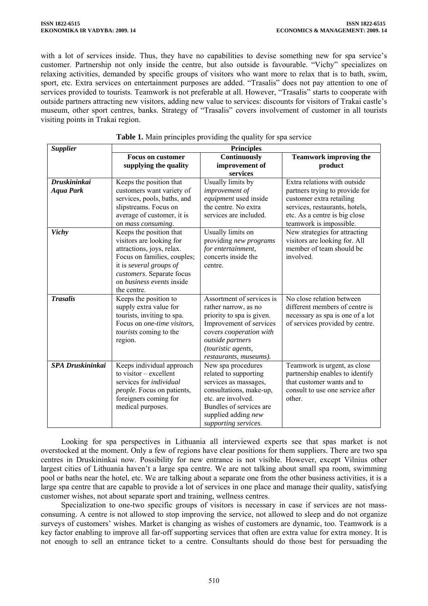with a lot of services inside. Thus, they have no capabilities to devise something new for spa service's customer. Partnership not only inside the centre, but also outside is favourable. "Vichy" specializes on relaxing activities, demanded by specific groups of visitors who want more to relax that is to bath, swim, sport, etc. Extra services on entertainment purposes are added. "Trasalis" does not pay attention to one of services provided to tourists. Teamwork is not preferable at all. However, "Trasalis" starts to cooperate with outside partners attracting new visitors, adding new value to services: discounts for visitors of Trakai castle's museum, other sport centres, banks. Strategy of "Trasalis" covers involvement of customer in all tourists visiting points in Trakai region.

| <b>Supplier</b>         | <b>Principles</b>                                         |                                                      |                                                                     |
|-------------------------|-----------------------------------------------------------|------------------------------------------------------|---------------------------------------------------------------------|
|                         | <b>Focus on customer</b>                                  | Continuously                                         | <b>Teamwork improving the</b>                                       |
|                         | supplying the quality                                     | improvement of                                       | product                                                             |
|                         |                                                           | services                                             |                                                                     |
| <b>Druskininkai</b>     | Keeps the position that                                   | Usually limits by                                    | Extra relations with outside                                        |
| <b>Aqua Park</b>        | customers want variety of                                 | improvement of                                       | partners trying to provide for                                      |
|                         | services, pools, baths, and                               | equipment used inside                                | customer extra retailing                                            |
|                         | slipstreams. Focus on                                     | the centre. No extra                                 | services, restaurants, hotels,                                      |
|                         | average of customer, it is                                | services are included.                               | etc. As a centre is big close                                       |
|                         | on mass consuming.                                        |                                                      | teamwork is impossible.                                             |
| <b>Vichy</b>            | Keeps the position that                                   | Usually limits on                                    | New strategies for attracting                                       |
|                         | visitors are looking for                                  | providing new programs                               | visitors are looking for. All                                       |
|                         | attractions, joys, relax.                                 | for entertainment,                                   | member of team should be                                            |
|                         | Focus on families, couples;                               | concerts inside the                                  | involved.                                                           |
|                         | it is several groups of                                   | centre.                                              |                                                                     |
|                         | customers. Separate focus                                 |                                                      |                                                                     |
|                         | on <i>business</i> events inside                          |                                                      |                                                                     |
|                         | the centre.                                               |                                                      |                                                                     |
| <b>Trasalis</b>         | Keeps the position to                                     | Assortment of services is                            | No close relation between                                           |
|                         | supply extra value for                                    | rather narrow, as no                                 | different members of centre is                                      |
|                         | tourists, inviting to spa.<br>Focus on one-time visitors, | priority to spa is given.<br>Improvement of services | necessary as spa is one of a lot<br>of services provided by centre. |
|                         | tourists coming to the                                    | covers cooperation with                              |                                                                     |
|                         | region.                                                   | outside partners                                     |                                                                     |
|                         |                                                           | (touristic agents,                                   |                                                                     |
|                         |                                                           | restaurants, museums).                               |                                                                     |
| <b>SPA Druskininkai</b> | Keeps individual approach                                 | New spa procedures                                   | Teamwork is urgent, as close                                        |
|                         | to visitor - excellent                                    | related to supporting                                | partnership enables to identify                                     |
|                         | services for <i>individual</i>                            | services as massages,                                | that customer wants and to                                          |
|                         | people. Focus on patients,                                | consultations, make-up,                              | consult to use one service after                                    |
|                         | foreigners coming for                                     | etc. are involved.                                   | other.                                                              |
|                         | medical purposes.                                         | Bundles of services are                              |                                                                     |
|                         |                                                           | supplied adding new                                  |                                                                     |
|                         |                                                           | supporting services.                                 |                                                                     |

# **Table 1.** Main principles providing the quality for spa service

Looking for spa perspectives in Lithuania all interviewed experts see that spas market is not overstocked at the moment. Only a few of regions have clear positions for them suppliers. There are two spa centres in Druskininkai now. Possibility for new entrance is not visible. However, except Vilnius other largest cities of Lithuania haven't a large spa centre. We are not talking about small spa room, swimming pool or baths near the hotel, etc. We are talking about a separate one from the other business activities, it is a large spa centre that are capable to provide a lot of services in one place and manage their quality, satisfying customer wishes, not about separate sport and training, wellness centres.

Specialization to one-two specific groups of visitors is necessary in case if services are not massconsuming. A centre is not allowed to stop improving the service, not allowed to sleep and do not organize surveys of customers' wishes. Market is changing as wishes of customers are dynamic, too. Teamwork is a key factor enabling to improve all far-off supporting services that often are extra value for extra money. It is not enough to sell an entrance ticket to a centre. Consultants should do those best for persuading the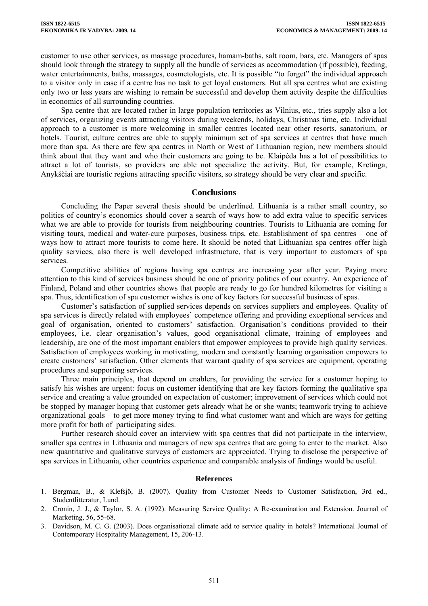customer to use other services, as massage procedures, hamam-baths, salt room, bars, etc. Managers of spas should look through the strategy to supply all the bundle of services as accommodation (if possible), feeding, water entertainments, baths, massages, cosmetologists, etc. It is possible "to forget" the individual approach to a visitor only in case if a centre has no task to get loyal customers. But all spa centres what are existing only two or less years are wishing to remain be successful and develop them activity despite the difficulties in economics of all surrounding countries.

Spa centre that are located rather in large population territories as Vilnius, etc., tries supply also a lot of services, organizing events attracting visitors during weekends, holidays, Christmas time, etc. Individual approach to a customer is more welcoming in smaller centres located near other resorts, sanatorium, or hotels. Tourist, culture centres are able to supply minimum set of spa services at centres that have much more than spa. As there are few spa centres in North or West of Lithuanian region, new members should think about that they want and who their customers are going to be. Klaipėda has a lot of possibilities to attract a lot of tourists, so providers are able not specialize the activity. But, for example, Kretinga, Anykščiai are touristic regions attracting specific visitors, so strategy should be very clear and specific.

#### **Conclusions**

Concluding the Paper several thesis should be underlined. Lithuania is a rather small country, so politics of country's economics should cover a search of ways how to add extra value to specific services what we are able to provide for tourists from neighbouring countries. Tourists to Lithuania are coming for visiting tours, medical and water-cure purposes, business trips, etc. Establishment of spa centres – one of ways how to attract more tourists to come here. It should be noted that Lithuanian spa centres offer high quality services, also there is well developed infrastructure, that is very important to customers of spa services.

Competitive abilities of regions having spa centres are increasing year after year. Paying more attention to this kind of services business should be one of priority politics of our country. An experience of Finland, Poland and other countries shows that people are ready to go for hundred kilometres for visiting a spa. Thus, identification of spa customer wishes is one of key factors for successful business of spas.

Customer's satisfaction of supplied services depends on services suppliers and employees. Quality of spa services is directly related with employees' competence offering and providing exceptional services and goal of organisation, oriented to customers' satisfaction. Organisation's conditions provided to their employees, i.e. clear organisation's values, good organisational climate, training of employees and leadership, are one of the most important enablers that empower employees to provide high quality services. Satisfaction of employees working in motivating, modern and constantly learning organisation empowers to create customers' satisfaction. Other elements that warrant quality of spa services are equipment, operating procedures and supporting services.

Three main principles, that depend on enablers, for providing the service for a customer hoping to satisfy his wishes are urgent: focus on customer identifying that are key factors forming the qualitative spa service and creating a value grounded on expectation of customer; improvement of services which could not be stopped by manager hoping that customer gets already what he or she wants; teamwork trying to achieve organizational goals – to get more money trying to find what customer want and which are ways for getting more profit for both of participating sides.

Further research should cover an interview with spa centres that did not participate in the interview, smaller spa centres in Lithuania and managers of new spa centres that are going to enter to the market. Also new quantitative and qualitative surveys of customers are appreciated. Trying to disclose the perspective of spa services in Lithuania, other countries experience and comparable analysis of findings would be useful.

#### **References**

- 1. Bergman, B., & Klefsjö, B. (2007). Quality from Customer Needs to Customer Satisfaction, 3rd ed., Studentlitteratur, Lund.
- 2. Cronin, J. J., & Taylor, S. A. (1992). Measuring Service Quality: A Re-examination and Extension. Journal of Marketing*,* 56, 55-68.
- 3. Davidson, M. C. G. (2003). Does organisational climate add to service quality in hotels? International Journal of Contemporary Hospitality Management, 15, 206-13.